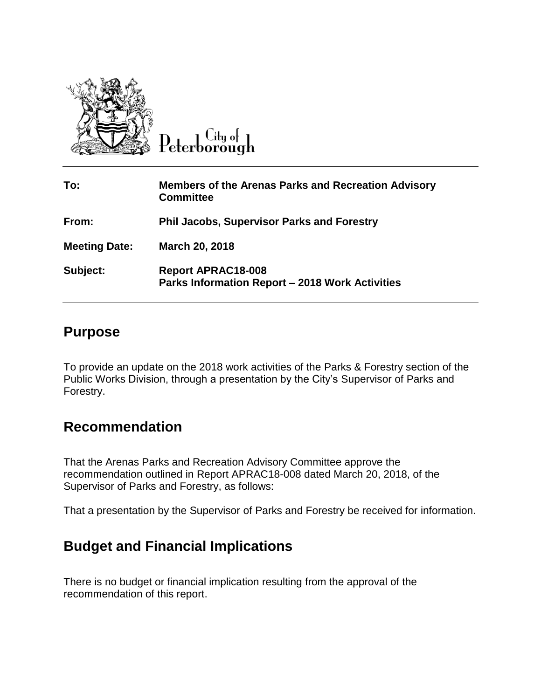

 $C$ ity of Peterborough

| To:                  | <b>Members of the Arenas Parks and Recreation Advisory</b><br><b>Committee</b>      |
|----------------------|-------------------------------------------------------------------------------------|
| From:                | <b>Phil Jacobs, Supervisor Parks and Forestry</b>                                   |
| <b>Meeting Date:</b> | March 20, 2018                                                                      |
| Subject:             | <b>Report APRAC18-008</b><br><b>Parks Information Report - 2018 Work Activities</b> |

## **Purpose**

To provide an update on the 2018 work activities of the Parks & Forestry section of the Public Works Division, through a presentation by the City's Supervisor of Parks and Forestry.

## **Recommendation**

That the Arenas Parks and Recreation Advisory Committee approve the recommendation outlined in Report APRAC18-008 dated March 20, 2018, of the Supervisor of Parks and Forestry, as follows:

That a presentation by the Supervisor of Parks and Forestry be received for information.

## **Budget and Financial Implications**

There is no budget or financial implication resulting from the approval of the recommendation of this report.